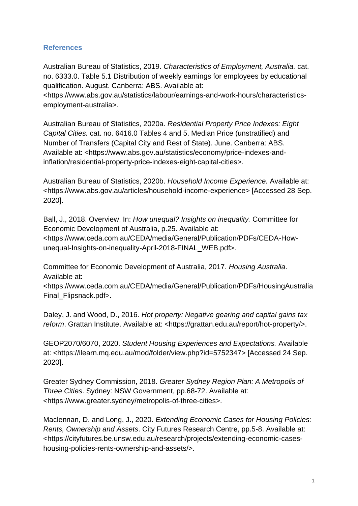## **References**

Australian Bureau of Statistics, 2019. *Characteristics of Employment, Australia.* cat. no. 6333.0. Table 5.1 Distribution of weekly earnings for employees by educational qualification. August. Canberra: ABS. Available at:

<https://www.abs.gov.au/statistics/labour/earnings-and-work-hours/characteristicsemployment-australia>.

Australian Bureau of Statistics, 2020a. *Residential Property Price Indexes: Eight Capital Cities.* cat. no. 6416.0 Tables 4 and 5. Median Price (unstratified) and Number of Transfers (Capital City and Rest of State). June. Canberra: ABS. Available at: <https://www.abs.gov.au/statistics/economy/price-indexes-andinflation/residential-property-price-indexes-eight-capital-cities>.

Australian Bureau of Statistics, 2020b. *Household Income Experience.* Available at: <https://www.abs.gov.au/articles/household-income-experience> [Accessed 28 Sep. 2020].

Ball, J., 2018. Overview. In: *How unequal? Insights on inequality.* Committee for Economic Development of Australia, p.25. Available at: <https://www.ceda.com.au/CEDA/media/General/Publication/PDFs/CEDA-Howunequal-Insights-on-inequality-April-2018-FINAL\_WEB.pdf>.

Committee for Economic Development of Australia, 2017. *Housing Australia*. Available at:

<https://www.ceda.com.au/CEDA/media/General/Publication/PDFs/HousingAustralia Final\_Flipsnack.pdf>.

Daley, J. and Wood, D., 2016. *Hot property: Negative gearing and capital gains tax reform*. Grattan Institute. Available at: <https://grattan.edu.au/report/hot-property/>.

GEOP2070/6070, 2020. *Student Housing Experiences and Expectations.* Available at: <https://ilearn.mq.edu.au/mod/folder/view.php?id=5752347> [Accessed 24 Sep. 2020].

Greater Sydney Commission, 2018. *Greater Sydney Region Plan: A Metropolis of Three Cities*. Sydney: NSW Government, pp.68-72. Available at: <https://www.greater.sydney/metropolis-of-three-cities>.

Maclennan, D. and Long, J., 2020. *Extending Economic Cases for Housing Policies: Rents, Ownership and Assets*. City Futures Research Centre, pp.5-8. Available at: <https://cityfutures.be.unsw.edu.au/research/projects/extending-economic-caseshousing-policies-rents-ownership-and-assets/>.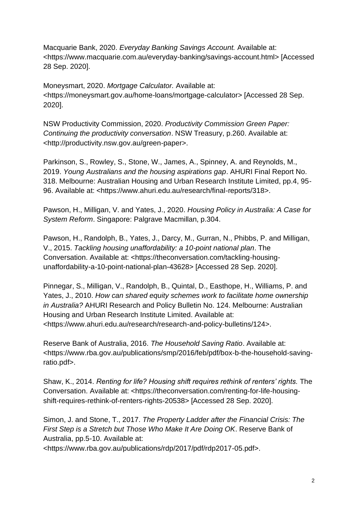Macquarie Bank, 2020. *Everyday Banking Savings Account.* Available at: <https://www.macquarie.com.au/everyday-banking/savings-account.html> [Accessed 28 Sep. 2020].

Moneysmart, 2020. *Mortgage Calculator.* Available at: <https://moneysmart.gov.au/home-loans/mortgage-calculator> [Accessed 28 Sep. 2020].

NSW Productivity Commission, 2020. *Productivity Commission Green Paper: Continuing the productivity conversation*. NSW Treasury, p.260. Available at: <http://productivity.nsw.gov.au/green-paper>.

Parkinson, S., Rowley, S., Stone, W., James, A., Spinney, A. and Reynolds, M., 2019. *Young Australians and the housing aspirations gap*. AHURI Final Report No. 318. Melbourne: Australian Housing and Urban Research Institute Limited, pp.4, 95- 96. Available at: <https://www.ahuri.edu.au/research/final-reports/318>.

Pawson, H., Milligan, V. and Yates, J., 2020. *Housing Policy in Australia: A Case for System Reform*. Singapore: Palgrave Macmillan, p.304.

Pawson, H., Randolph, B., Yates, J., Darcy, M., Gurran, N., Phibbs, P. and Milligan, V., 2015. *Tackling housing unaffordability: a 10-point national plan*. The Conversation. Available at: <https://theconversation.com/tackling-housingunaffordability-a-10-point-national-plan-43628> [Accessed 28 Sep. 2020].

Pinnegar, S., Milligan, V., Randolph, B., Quintal, D., Easthope, H., Williams, P. and Yates, J., 2010. *How can shared equity schemes work to facilitate home ownership in Australia?* AHURI Research and Policy Bulletin No. 124. Melbourne: Australian Housing and Urban Research Institute Limited. Available at: <https://www.ahuri.edu.au/research/research-and-policy-bulletins/124>.

Reserve Bank of Australia, 2016. *The Household Saving Ratio*. Available at: <https://www.rba.gov.au/publications/smp/2016/feb/pdf/box-b-the-household-savingratio.pdf>.

Shaw, K., 2014. *Renting for life? Housing shift requires rethink of renters' rights.* The Conversation. Available at: <https://theconversation.com/renting-for-life-housingshift-requires-rethink-of-renters-rights-20538> [Accessed 28 Sep. 2020].

Simon, J. and Stone, T., 2017. *The Property Ladder after the Financial Crisis: The First Step is a Stretch but Those Who Make It Are Doing OK*. Reserve Bank of Australia, pp.5-10. Available at:

<https://www.rba.gov.au/publications/rdp/2017/pdf/rdp2017-05.pdf>.